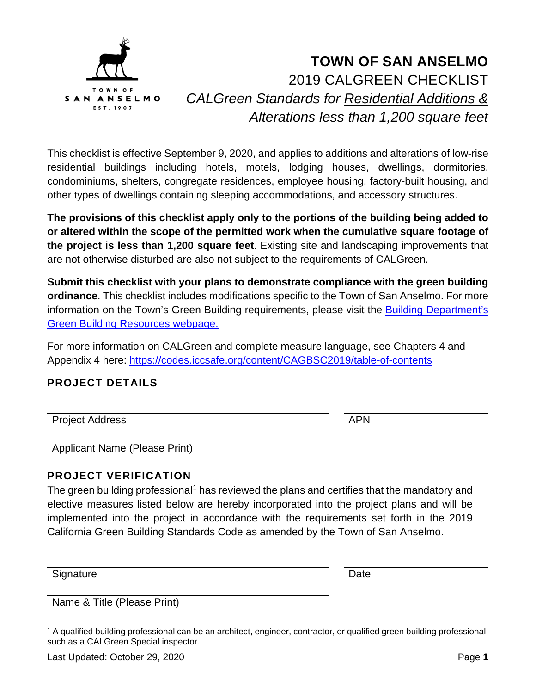

This checklist is effective September 9, 2020, and applies to additions and alterations of low-rise residential buildings including hotels, motels, lodging houses, dwellings, dormitories, condominiums, shelters, congregate residences, employee housing, factory-built housing, and other types of dwellings containing sleeping accommodations, and accessory structures.

**The provisions of this checklist apply only to the portions of the building being added to or altered within the scope of the permitted work when the cumulative square footage of the project is less than 1,200 square feet**. Existing site and landscaping improvements that are not otherwise disturbed are also not subject to the requirements of CALGreen.

**Submit this checklist with your plans to demonstrate compliance with the green building ordinance**. This checklist includes modifications specific to the Town of San Anselmo. For more information on the Town's Green Building requirements, please visit the [Building Department's](https://www.townofsananselmo.org/1228/Green-Building-Resources)  [Green Building Resources webpage.](https://www.townofsananselmo.org/1228/Green-Building-Resources)

For more information on CALGreen and complete measure language, see Chapters 4 and Appendix 4 here:<https://codes.iccsafe.org/content/CAGBSC2019/table-of-contents>

#### **PROJECT DETAILS**

Project Address APN

Applicant Name (Please Print)

#### **PROJECT VERIFICATION**

The green building professional<sup>[1](#page-0-0)</sup> has reviewed the plans and certifies that the mandatory and elective measures listed below are hereby incorporated into the project plans and will be implemented into the project in accordance with the requirements set forth in the 2019 California Green Building Standards Code as amended by the Town of San Anselmo.

Signature Date

Name & Title (Please Print)

<span id="page-0-0"></span><sup>1</sup> A qualified building professional can be an architect, engineer, contractor, or qualified green building professional, such as a CALGreen Special inspector.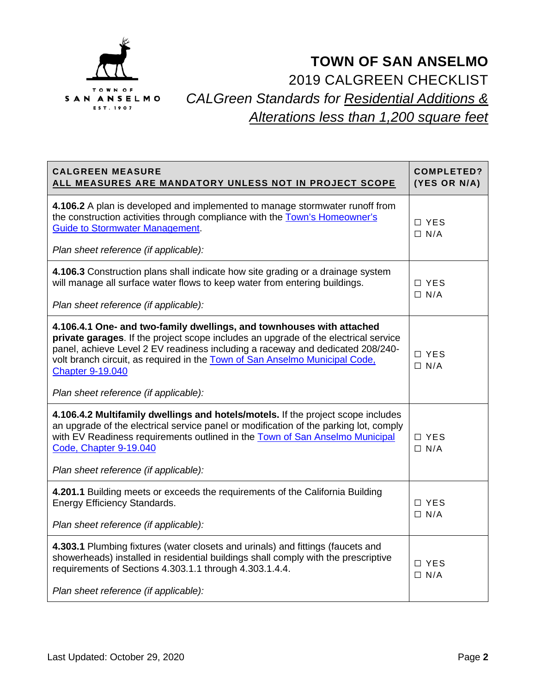

| <b>CALGREEN MEASURE</b><br>ALL MEASURES ARE MANDATORY UNLESS NOT IN PROJECT SCOPE                                                                                                                                                                                                                                                                        | <b>COMPLETED?</b><br>(YES OR N/A) |
|----------------------------------------------------------------------------------------------------------------------------------------------------------------------------------------------------------------------------------------------------------------------------------------------------------------------------------------------------------|-----------------------------------|
| 4.106.2 A plan is developed and implemented to manage stormwater runoff from<br>the construction activities through compliance with the Town's Homeowner's<br><b>Guide to Stormwater Management.</b><br>Plan sheet reference (if applicable):                                                                                                            | □ YES<br>$\Box$ N/A               |
|                                                                                                                                                                                                                                                                                                                                                          |                                   |
| 4.106.3 Construction plans shall indicate how site grading or a drainage system<br>will manage all surface water flows to keep water from entering buildings.                                                                                                                                                                                            | □ YES<br>$\Box$ N/A               |
| Plan sheet reference (if applicable):                                                                                                                                                                                                                                                                                                                    |                                   |
| 4.106.4.1 One- and two-family dwellings, and townhouses with attached<br>private garages. If the project scope includes an upgrade of the electrical service<br>panel, achieve Level 2 EV readiness including a raceway and dedicated 208/240-<br>volt branch circuit, as required in the Town of San Anselmo Municipal Code,<br><b>Chapter 9-19.040</b> | $\Box$ YES<br>$\Box$ N/A          |
| Plan sheet reference (if applicable):                                                                                                                                                                                                                                                                                                                    |                                   |
| 4.106.4.2 Multifamily dwellings and hotels/motels. If the project scope includes<br>an upgrade of the electrical service panel or modification of the parking lot, comply<br>with EV Readiness requirements outlined in the Town of San Anselmo Municipal<br>Code, Chapter 9-19.040                                                                      | $\Box$ YES<br>$\Box$ N/A          |
| Plan sheet reference (if applicable):                                                                                                                                                                                                                                                                                                                    |                                   |
| 4.201.1 Building meets or exceeds the requirements of the California Building<br>Energy Efficiency Standards.                                                                                                                                                                                                                                            | □ YES<br>$\Box$ N/A               |
| Plan sheet reference (if applicable):                                                                                                                                                                                                                                                                                                                    |                                   |
| 4.303.1 Plumbing fixtures (water closets and urinals) and fittings (faucets and<br>showerheads) installed in residential buildings shall comply with the prescriptive<br>requirements of Sections 4.303.1.1 through 4.303.1.4.4.<br>Plan sheet reference (if applicable):                                                                                | $\Box$ YES<br>$\Box$ N/A          |
|                                                                                                                                                                                                                                                                                                                                                          |                                   |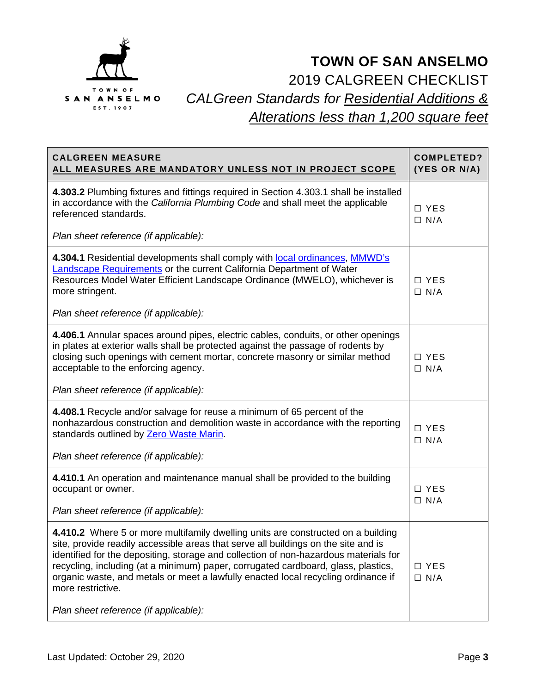

| <b>CALGREEN MEASURE</b><br><u>ALL MEASURES ARE MANDATORY UNLESS NOT IN PROJECT SCOPE</u>                                                                                                                                                                                                                                                                                                                                                                                                               | <b>COMPLETED?</b><br>(YES OR N/A) |
|--------------------------------------------------------------------------------------------------------------------------------------------------------------------------------------------------------------------------------------------------------------------------------------------------------------------------------------------------------------------------------------------------------------------------------------------------------------------------------------------------------|-----------------------------------|
| 4.303.2 Plumbing fixtures and fittings required in Section 4.303.1 shall be installed<br>in accordance with the California Plumbing Code and shall meet the applicable<br>referenced standards.<br>Plan sheet reference (if applicable):                                                                                                                                                                                                                                                               | □ YES<br>$\Box$ N/A               |
| 4.304.1 Residential developments shall comply with local ordinances, MMWD's<br>Landscape Requirements or the current California Department of Water<br>Resources Model Water Efficient Landscape Ordinance (MWELO), whichever is<br>more stringent.<br>Plan sheet reference (if applicable):                                                                                                                                                                                                           | $\Box$ YES<br>$\Box$ N/A          |
| 4.406.1 Annular spaces around pipes, electric cables, conduits, or other openings<br>in plates at exterior walls shall be protected against the passage of rodents by<br>closing such openings with cement mortar, concrete masonry or similar method<br>acceptable to the enforcing agency.<br>Plan sheet reference (if applicable):                                                                                                                                                                  | □ YES<br>$\Box$ N/A               |
| 4.408.1 Recycle and/or salvage for reuse a minimum of 65 percent of the<br>nonhazardous construction and demolition waste in accordance with the reporting<br>standards outlined by Zero Waste Marin.<br>Plan sheet reference (if applicable):                                                                                                                                                                                                                                                         | □ YES<br>$\Box$ N/A               |
| 4.410.1 An operation and maintenance manual shall be provided to the building<br>occupant or owner.<br>Plan sheet reference (if applicable):                                                                                                                                                                                                                                                                                                                                                           | $\Box$ YES<br>$\Box$ N/A          |
| 4.410.2 Where 5 or more multifamily dwelling units are constructed on a building<br>site, provide readily accessible areas that serve all buildings on the site and is<br>identified for the depositing, storage and collection of non-hazardous materials for<br>recycling, including (at a minimum) paper, corrugated cardboard, glass, plastics,<br>organic waste, and metals or meet a lawfully enacted local recycling ordinance if<br>more restrictive.<br>Plan sheet reference (if applicable): | □ YES<br>$\Box$ N/A               |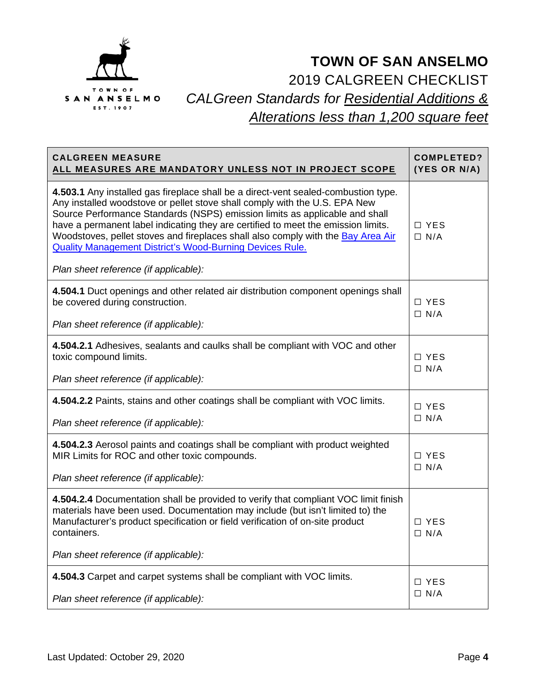

| <b>CALGREEN MEASURE</b><br>ALL MEASURES ARE MANDATORY UNLESS NOT IN PROJECT SCOPE                                                                                                                                                                                                                                                                                                                                                                                                                                             | <b>COMPLETED?</b><br>(YES OR N/A) |
|-------------------------------------------------------------------------------------------------------------------------------------------------------------------------------------------------------------------------------------------------------------------------------------------------------------------------------------------------------------------------------------------------------------------------------------------------------------------------------------------------------------------------------|-----------------------------------|
| 4.503.1 Any installed gas fireplace shall be a direct-vent sealed-combustion type.<br>Any installed woodstove or pellet stove shall comply with the U.S. EPA New<br>Source Performance Standards (NSPS) emission limits as applicable and shall<br>have a permanent label indicating they are certified to meet the emission limits.<br>Woodstoves, pellet stoves and fireplaces shall also comply with the Bay Area Air<br>Quality Management District's Wood-Burning Devices Rule.<br>Plan sheet reference (if applicable): | □ YES<br>$\Box$ N/A               |
| 4.504.1 Duct openings and other related air distribution component openings shall<br>be covered during construction.<br>Plan sheet reference (if applicable):                                                                                                                                                                                                                                                                                                                                                                 | $\Box$ YES<br>$\Box$ N/A          |
|                                                                                                                                                                                                                                                                                                                                                                                                                                                                                                                               |                                   |
| 4.504.2.1 Adhesives, sealants and caulks shall be compliant with VOC and other<br>toxic compound limits.                                                                                                                                                                                                                                                                                                                                                                                                                      | □ YES<br>$\Box$ N/A               |
| Plan sheet reference (if applicable):                                                                                                                                                                                                                                                                                                                                                                                                                                                                                         |                                   |
| 4.504.2.2 Paints, stains and other coatings shall be compliant with VOC limits.                                                                                                                                                                                                                                                                                                                                                                                                                                               | □ YES<br>$\Box$ N/A               |
| Plan sheet reference (if applicable):                                                                                                                                                                                                                                                                                                                                                                                                                                                                                         |                                   |
| 4.504.2.3 Aerosol paints and coatings shall be compliant with product weighted<br>MIR Limits for ROC and other toxic compounds.                                                                                                                                                                                                                                                                                                                                                                                               | $\Box$ YES<br>$\Box$ N/A          |
| Plan sheet reference (if applicable):                                                                                                                                                                                                                                                                                                                                                                                                                                                                                         |                                   |
| 4.504.2.4 Documentation shall be provided to verify that compliant VOC limit finish<br>materials have been used. Documentation may include (but isn't limited to) the<br>Manufacturer's product specification or field verification of on-site product<br>containers.<br>Plan sheet reference (if applicable):                                                                                                                                                                                                                | $\Box$ YES<br>$\Box$ N/A          |
| 4.504.3 Carpet and carpet systems shall be compliant with VOC limits.                                                                                                                                                                                                                                                                                                                                                                                                                                                         | $\Box$ YES<br>$\Box$ N/A          |
| Plan sheet reference (if applicable):                                                                                                                                                                                                                                                                                                                                                                                                                                                                                         |                                   |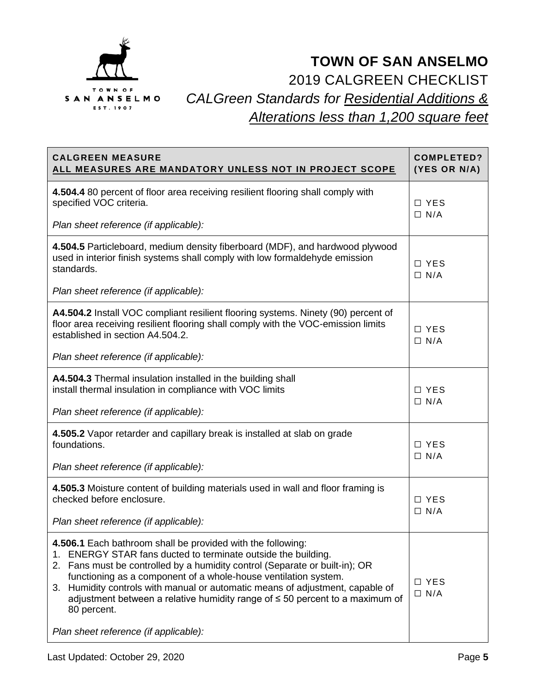